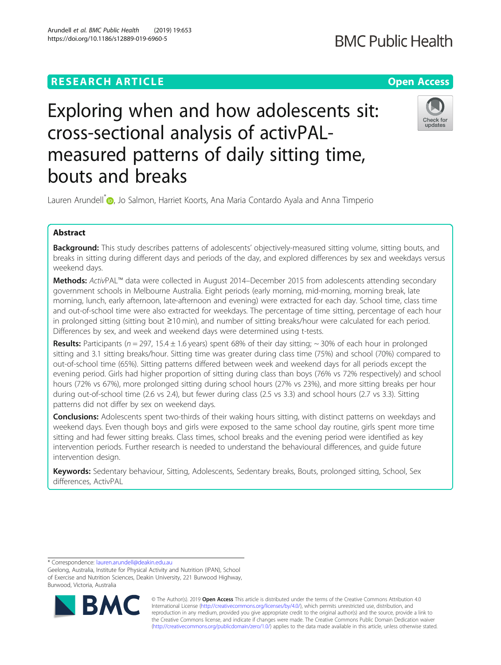# **RESEARCH ARTICLE Example 2014 12:30 The Contract of Contract ACCESS**

# Exploring when and how adolescents sit: cross-sectional analysis of activPALmeasured patterns of daily sitting time, bouts and breaks

Lauren Arundell<sup>[\\*](http://orcid.org/0000-0002-8178-4104)</sup> (**p.** Jo Salmon, Harriet Koorts, Ana Maria Contardo Ayala and Anna Timperio

# Abstract

Background: This study describes patterns of adolescents' objectively-measured sitting volume, sitting bouts, and breaks in sitting during different days and periods of the day, and explored differences by sex and weekdays versus weekend days.

Methods: ActivPAL™ data were collected in August 2014–December 2015 from adolescents attending secondary government schools in Melbourne Australia. Eight periods (early morning, mid-morning, morning break, late morning, lunch, early afternoon, late-afternoon and evening) were extracted for each day. School time, class time and out-of-school time were also extracted for weekdays. The percentage of time sitting, percentage of each hour in prolonged sitting (sitting bout ≥10 min), and number of sitting breaks/hour were calculated for each period. Differences by sex, and week and weekend days were determined using t-tests.

Results: Participants ( $n = 297$ , 15.4 ± 1.6 years) spent 68% of their day sitting;  $\sim$  30% of each hour in prolonged sitting and 3.1 sitting breaks/hour. Sitting time was greater during class time (75%) and school (70%) compared to out-of-school time (65%). Sitting patterns differed between week and weekend days for all periods except the evening period. Girls had higher proportion of sitting during class than boys (76% vs 72% respectively) and school hours (72% vs 67%), more prolonged sitting during school hours (27% vs 23%), and more sitting breaks per hour during out-of-school time (2.6 vs 2.4), but fewer during class (2.5 vs 3.3) and school hours (2.7 vs 3.3). Sitting patterns did not differ by sex on weekend days.

Conclusions: Adolescents spent two-thirds of their waking hours sitting, with distinct patterns on weekdays and weekend days. Even though boys and girls were exposed to the same school day routine, girls spent more time sitting and had fewer sitting breaks. Class times, school breaks and the evening period were identified as key intervention periods. Further research is needed to understand the behavioural differences, and guide future intervention design.

Keywords: Sedentary behaviour, Sitting, Adolescents, Sedentary breaks, Bouts, prolonged sitting, School, Sex differences, ActivPAL

\* Correspondence: [lauren.arundell@deakin.edu.au](mailto:lauren.arundell@deakin.edu.au)

Geelong, Australia, Institute for Physical Activity and Nutrition (IPAN), School of Exercise and Nutrition Sciences, Deakin University, 221 Burwood Highway, Burwood, Victoria, Australia







Arundell et al. BMC Public Health (2019) 19:653 https://doi.org/10.1186/s12889-019-6960-5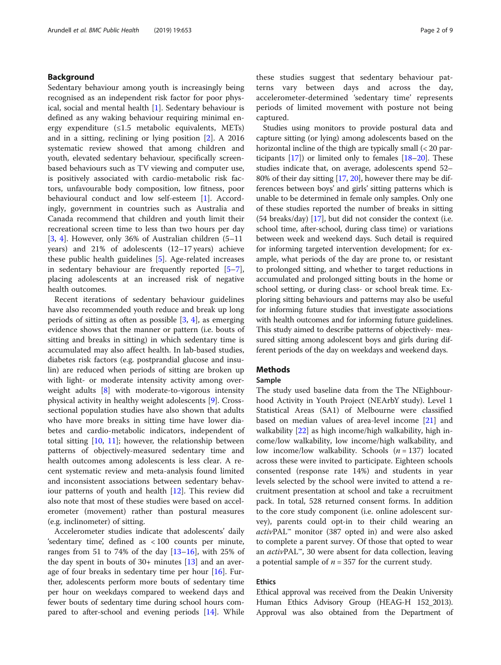# Background

Sedentary behaviour among youth is increasingly being recognised as an independent risk factor for poor physical, social and mental health [[1\]](#page-7-0). Sedentary behaviour is defined as any waking behaviour requiring minimal energy expenditure  $(≤1.5$  metabolic equivalents, METs) and in a sitting, reclining or lying position [\[2](#page-7-0)]. A 2016 systematic review showed that among children and youth, elevated sedentary behaviour, specifically screenbased behaviours such as TV viewing and computer use, is positively associated with cardio-metabolic risk factors, unfavourable body composition, low fitness, poor behavioural conduct and low self-esteem [[1\]](#page-7-0). Accordingly, government in countries such as Australia and Canada recommend that children and youth limit their recreational screen time to less than two hours per day [[3,](#page-7-0) [4\]](#page-7-0). However, only 36% of Australian children (5–11 years) and 21% of adolescents (12–17 years) achieve these public health guidelines [\[5\]](#page-7-0). Age-related increases in sedentary behaviour are frequently reported [\[5](#page-7-0)–[7](#page-7-0)], placing adolescents at an increased risk of negative health outcomes.

Recent iterations of sedentary behaviour guidelines have also recommended youth reduce and break up long periods of sitting as often as possible [[3,](#page-7-0) [4](#page-7-0)], as emerging evidence shows that the manner or pattern (i.e. bouts of sitting and breaks in sitting) in which sedentary time is accumulated may also affect health. In lab-based studies, diabetes risk factors (e.g. postprandial glucose and insulin) are reduced when periods of sitting are broken up with light- or moderate intensity activity among overweight adults [\[8](#page-7-0)] with moderate-to-vigorous intensity physical activity in healthy weight adolescents [[9\]](#page-7-0). Crosssectional population studies have also shown that adults who have more breaks in sitting time have lower diabetes and cardio-metabolic indicators, independent of total sitting [[10,](#page-7-0) [11\]](#page-7-0); however, the relationship between patterns of objectively-measured sedentary time and health outcomes among adolescents is less clear. A recent systematic review and meta-analysis found limited and inconsistent associations between sedentary behaviour patterns of youth and health [[12](#page-7-0)]. This review did also note that most of these studies were based on accelerometer (movement) rather than postural measures (e.g. inclinometer) of sitting.

Accelerometer studies indicate that adolescents' daily 'sedentary time', defined as < 100 counts per minute, ranges from 51 to 74% of the day  $[13–16]$  $[13–16]$  $[13–16]$  $[13–16]$  $[13–16]$ , with 25% of the day spent in bouts of  $30+$  minutes  $[13]$  $[13]$  and an average of four breaks in sedentary time per hour  $[16]$  $[16]$  $[16]$ . Further, adolescents perform more bouts of sedentary time per hour on weekdays compared to weekend days and fewer bouts of sedentary time during school hours compared to after-school and evening periods [\[14\]](#page-7-0). While

these studies suggest that sedentary behaviour patterns vary between days and across the day, accelerometer-determined 'sedentary time' represents periods of limited movement with posture not being captured.

Studies using monitors to provide postural data and capture sitting (or lying) among adolescents based on the horizontal incline of the thigh are typically small (< 20 participants  $[17]$  $[17]$  $[17]$ ) or limited only to females  $[18–20]$  $[18–20]$  $[18–20]$  $[18–20]$ . These studies indicate that, on average, adolescents spend 52– 80% of their day sitting [\[17,](#page-7-0) [20](#page-7-0)], however there may be differences between boys' and girls' sitting patterns which is unable to be determined in female only samples. Only one of these studies reported the number of breaks in sitting (54 breaks/day) [[17](#page-7-0)], but did not consider the context (i.e. school time, after-school, during class time) or variations between week and weekend days. Such detail is required for informing targeted intervention development; for example, what periods of the day are prone to, or resistant to prolonged sitting, and whether to target reductions in accumulated and prolonged sitting bouts in the home or school setting, or during class- or school break time. Exploring sitting behaviours and patterns may also be useful for informing future studies that investigate associations with health outcomes and for informing future guidelines. This study aimed to describe patterns of objectively- measured sitting among adolescent boys and girls during different periods of the day on weekdays and weekend days.

# Methods

# Sample

The study used baseline data from the The NEighbourhood Activity in Youth Project (NEArbY study). Level 1 Statistical Areas (SA1) of Melbourne were classified based on median values of area-level income [[21\]](#page-7-0) and walkability [\[22](#page-8-0)] as high income/high walkability, high income/low walkability, low income/high walkability, and low income/low walkability. Schools  $(n = 137)$  located across these were invited to participate. Eighteen schools consented (response rate 14%) and students in year levels selected by the school were invited to attend a recruitment presentation at school and take a recruitment pack. In total, 528 returned consent forms. In addition to the core study component (i.e. online adolescent survey), parents could opt-in to their child wearing an activPAL™ monitor (387 opted in) and were also asked to complete a parent survey. Of those that opted to wear an activPAL™, 30 were absent for data collection, leaving a potential sample of  $n = 357$  for the current study.

# Ethics

Ethical approval was received from the Deakin University Human Ethics Advisory Group (HEAG-H 152\_2013). Approval was also obtained from the Department of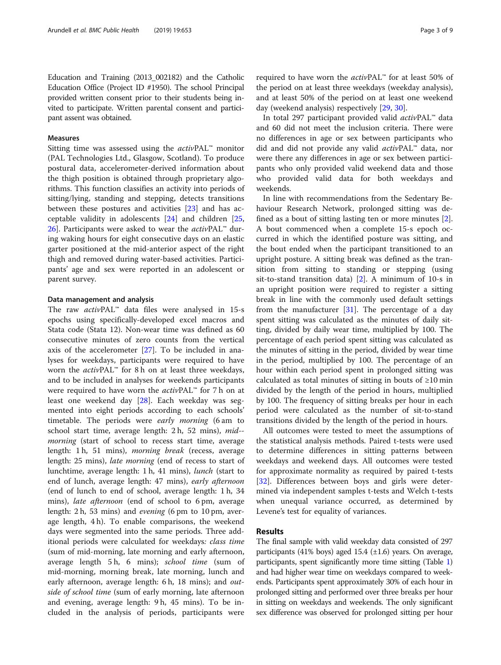Education and Training (2013\_002182) and the Catholic Education Office (Project ID #1950). The school Principal provided written consent prior to their students being invited to participate. Written parental consent and participant assent was obtained.

# Measures

Sitting time was assessed using the  $activePAL^m$  monitor (PAL Technologies Ltd., Glasgow, Scotland). To produce postural data, accelerometer-derived information about the thigh position is obtained through proprietary algorithms. This function classifies an activity into periods of sitting/lying, standing and stepping, detects transitions between these postures and activities [[23\]](#page-8-0) and has acceptable validity in adolescents [\[24](#page-8-0)] and children [[25](#page-8-0), [26\]](#page-8-0). Participants were asked to wear the  $activity$ PAL<sup>™</sup> during waking hours for eight consecutive days on an elastic garter positioned at the mid-anterior aspect of the right thigh and removed during water-based activities. Participants' age and sex were reported in an adolescent or parent survey.

# Data management and analysis

The raw activPAL™ data files were analysed in 15-s epochs using specifically-developed excel macros and Stata code (Stata 12). Non-wear time was defined as 60 consecutive minutes of zero counts from the vertical axis of the accelerometer [\[27](#page-8-0)]. To be included in analyses for weekdays, participants were required to have worn the *activPAL*<sup>™</sup> for 8 h on at least three weekdays, and to be included in analyses for weekends participants were required to have worn the  $activityPAL^m$  for 7 h on at least one weekend day [\[28\]](#page-8-0). Each weekday was segmented into eight periods according to each schools' timetable. The periods were early morning (6 am to school start time, average length: 2 h, 52 mins), mid- morning (start of school to recess start time, average length: 1 h, 51 mins), morning break (recess, average length: 25 mins), late morning (end of recess to start of lunchtime, average length: 1 h, 41 mins), lunch (start to end of lunch, average length: 47 mins), early afternoon (end of lunch to end of school, average length: 1 h, 34 mins), late afternoon (end of school to 6 pm, average length: 2 h, 53 mins) and evening (6 pm to 10 pm, average length, 4 h). To enable comparisons, the weekend days were segmented into the same periods. Three additional periods were calculated for weekdays: class time (sum of mid-morning, late morning and early afternoon, average length 5 h, 6 mins); school time (sum of mid-morning, morning break, late morning, lunch and early afternoon, average length: 6 h, 18 mins); and *out*side of school time (sum of early morning, late afternoon and evening, average length: 9 h, 45 mins). To be included in the analysis of periods, participants were

required to have worn the activPAL™ for at least 50% of the period on at least three weekdays (weekday analysis), and at least 50% of the period on at least one weekend day (weekend analysis) respectively [\[29](#page-8-0), [30](#page-8-0)].

In total 297 participant provided valid activPAL™ data and 60 did not meet the inclusion criteria. There were no differences in age or sex between participants who did and did not provide any valid activPAL™ data, nor were there any differences in age or sex between participants who only provided valid weekend data and those who provided valid data for both weekdays and weekends.

In line with recommendations from the Sedentary Behaviour Research Network, prolonged sitting was defined as a bout of sitting lasting ten or more minutes [\[2](#page-7-0)]. A bout commenced when a complete 15-s epoch occurred in which the identified posture was sitting, and the bout ended when the participant transitioned to an upright posture. A sitting break was defined as the transition from sitting to standing or stepping (using sit-to-stand transition data) [[2\]](#page-7-0). A minimum of 10-s in an upright position were required to register a sitting break in line with the commonly used default settings from the manufacturer  $[31]$  $[31]$ . The percentage of a day spent sitting was calculated as the minutes of daily sitting, divided by daily wear time, multiplied by 100. The percentage of each period spent sitting was calculated as the minutes of sitting in the period, divided by wear time in the period, multiplied by 100. The percentage of an hour within each period spent in prolonged sitting was calculated as total minutes of sitting in bouts of  $\geq 10$  min divided by the length of the period in hours, multiplied by 100. The frequency of sitting breaks per hour in each period were calculated as the number of sit-to-stand transitions divided by the length of the period in hours.

All outcomes were tested to meet the assumptions of the statistical analysis methods. Paired t-tests were used to determine differences in sitting patterns between weekdays and weekend days. All outcomes were tested for approximate normality as required by paired t-tests [[32\]](#page-8-0). Differences between boys and girls were determined via independent samples t-tests and Welch t-tests when unequal variance occurred, as determined by Levene's test for equality of variances.

# Results

The final sample with valid weekday data consisted of 297 participants (41% boys) aged 15.4  $(\pm 1.6)$  years. On average, participants, spent significantly more time sitting (Table [1](#page-3-0)) and had higher wear time on weekdays compared to weekends. Participants spent approximately 30% of each hour in prolonged sitting and performed over three breaks per hour in sitting on weekdays and weekends. The only significant sex difference was observed for prolonged sitting per hour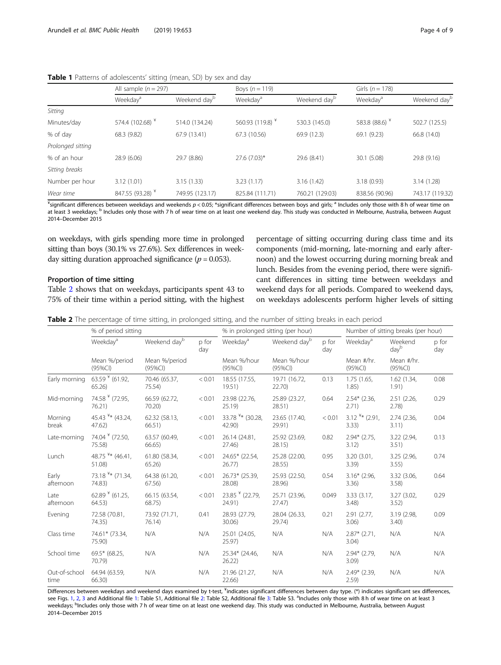|                   | All sample $(n = 297)$ |                          | Boys $(n = 119)$     |                          | Girls ( $n = 178$ )  |                 |  |
|-------------------|------------------------|--------------------------|----------------------|--------------------------|----------------------|-----------------|--|
|                   | Weekday <sup>a</sup>   | Weekend day <sup>b</sup> | Weekday <sup>a</sup> | Weekend day <sup>b</sup> | Weekday <sup>a</sup> | Weekend dayb    |  |
| Sitting           |                        |                          |                      |                          |                      |                 |  |
| Minutes/day       | 574.4 (102.68) ¥       | 514.0 (134.24)           | 560.93 (119.8) ¥     | 530.3 (145.0)            | 583.8 (88.6) *       | 502.7 (125.5)   |  |
| % of day          | 68.3 (9.82)            | 67.9 (13.41)             | 67.3 (10.56)         | 69.9 (12.3)              | 69.1 (9.23)          | 66.8 (14.0)     |  |
| Prolonged sitting |                        |                          |                      |                          |                      |                 |  |
| % of an hour      | 28.9 (6.06)            | 29.7 (8.86)              | $27.6(7.03)*$        | 29.6 (8.41)              | 30.1 (5.08)          | 29.8 (9.16)     |  |
| Sitting breaks    |                        |                          |                      |                          |                      |                 |  |
| Number per hour   | 3.12(1.01)             | 3.15(1.33)               | 3.23(1.17)           | 3.16(1.42)               | 3.18(0.93)           | 3.14(1.28)      |  |
| Wear time         | 847.55 (93.28) *       | 749.95 (123.17)          | 825.84 (111.71)      | 760.21 (129.03)          | 838.56 (90.96)       | 743.17 (119.32) |  |

<span id="page-3-0"></span>

| Table 1 Patterns of adolescents' sitting (mean, SD) by sex and day |  |  |  |
|--------------------------------------------------------------------|--|--|--|
|--------------------------------------------------------------------|--|--|--|

¥ significant differences between weekdays and weekends p < 0.05; \*significant differences between boys and girls; <sup>a</sup> Includes only those with 8 h of wear time on at least 3 weekdays; <sup>b</sup> Includes only those with 7 h of wear time on at least one weekend day. This study was conducted in Melbourne, Australia, between August 2014–December 2015

on weekdays, with girls spending more time in prolonged sitting than boys (30.1% vs 27.6%). Sex differences in weekday sitting duration approached significance ( $p = 0.053$ ).

# Proportion of time sitting

Table 2 shows that on weekdays, participants spent 43 to 75% of their time within a period sitting, with the highest

percentage of sitting occurring during class time and its components (mid-morning, late-morning and early afternoon) and the lowest occurring during morning break and lunch. Besides from the evening period, there were significant differences in sitting time between weekdays and weekend days for all periods. Compared to weekend days, on weekdays adolescents perform higher levels of sitting

Table 2 The percentage of time sitting, in prolonged sitting, and the number of sitting breaks in each period

|                       | % of period sitting                    |                             |              | % in prolonged sitting (per hour) |                           |              | Number of sitting breaks (per hour) |                             |              |
|-----------------------|----------------------------------------|-----------------------------|--------------|-----------------------------------|---------------------------|--------------|-------------------------------------|-----------------------------|--------------|
|                       | Weekday <sup>a</sup>                   | Weekend dayb                | p for<br>day | Weekday <sup>a</sup>              | Weekend dayb              | p for<br>day | Weekday <sup>a</sup>                | Weekend<br>day <sup>b</sup> | p for<br>day |
|                       | Mean %/period<br>$(95\%CI)$            | Mean %/period<br>$(95\%CI)$ |              | Mean %/hour<br>$(95\%CI)$         | Mean %/hour<br>$(95\%CI)$ |              | Mean #/hr.<br>$(95\%CI)$            | Mean #/hr.<br>$(95\%CI)$    |              |
| Early morning         | 63.59 $*$ (61.92,<br>65.26             | 70.46 (65.37,<br>75.54)     | < 0.01       | 18.55 (17.55,<br>19.51)           | 19.71 (16.72,<br>22.70    | 0.13         | 1.75(1.65,<br>1.85)                 | 1.62(1.34,<br>1.91)         | 0.08         |
| Mid-mornina           | 74.58 ¥ (72.95,<br>76.21)              | 66.59 (62.72,<br>70.20      | < 0.01       | 23.98 (22.76,<br>25.19            | 25.89 (23.27,<br>28.51)   | 0.64         | $2.54*$ (2.36,<br>2.71)             | 2.51(2.26,<br>2.78)         | 0.29         |
| Morning<br>break      | 45.43 ** (43.24,<br>47.62              | 62.32 (58.13,<br>66.51)     | < 0.01       | 33.78 ** (30.28,<br>42.90)        | 23.65 (17.40,<br>29.91)   | < 0.01       | $3.12 \times (2.91)$<br>3.33)       | 2.74 (2.36,<br>3.11)        | 0.04         |
| Late-morning          | 74.04 ¥ (72.50,<br>75.58)              | 63.57 (60.49,<br>66.65)     | < 0.01       | 26.14 (24.81,<br>27.46)           | 25.92 (23.69,<br>28.15)   | 0.82         | $2.94*$ (2.75,<br>3.12)             | 3.22 (2.94,<br>3.51)        | 0.13         |
| Lunch                 | 48.75 $**$ (46.41.<br>51.08)           | 61.80 (58.34,<br>65.26      | < 0.01       | 24.65* (22.54,<br>26.77           | 25.28 (22.00,<br>28.55    | 0.95         | 3.20(3.01)<br>3.39                  | 3.25 (2.96,<br>3.55)        | 0.74         |
| Early<br>afternoon    | 73.18 <sup>*</sup> * (71.34,<br>74.83) | 64.38 (61.20,<br>67.56      | < 0.01       | 26.73* (25.39,<br>28.08)          | 25.93 (22.50,<br>28.96)   | 0.54         | $3.16*$ (2.96,<br>3.36)             | 3.32 (3.06,<br>3.58)        | 0.64         |
| Late<br>afternoon     | 62.89 $*$ (61.25,<br>64.53)            | 66.15 (63.54,<br>68.75)     | < 0.01       | 23.85 ¥ (22.79,<br>24.91)         | 25.71 (23.96,<br>27.47    | 0.049        | 3.33(3.17)<br>3.48                  | 3.27(3.02,<br>3.52)         | 0.29         |
| Evening               | 72.58 (70.81,<br>74.35)                | 73.92 (71.71,<br>76.14      | 0.41         | 28.93 (27.79,<br>30.06)           | 28.04 (26.33,<br>29.74)   | 0.21         | 2.91(2.77)<br>3.06)                 | 3.19 (2.98,<br>3.40         | 0.09         |
| Class time            | 74.61* (73.34,<br>75.90)               | N/A                         | N/A          | 25.01 (24.05,<br>25.97)           | N/A                       | N/A          | $2.87*$ (2.71,<br>3.04)             | N/A                         | N/A          |
| School time           | 69.5* (68.25,<br>70.79)                | N/A                         | N/A          | 25.34* (24.46,<br>26.22)          | N/A                       | N/A          | $2.94*$ (2.79,<br>3.09              | N/A                         | N/A          |
| Out-of-school<br>time | 64.94 (63.59,<br>66.30)                | N/A                         | N/A          | 21.96 (21.27,<br>22.66            | N/A                       | N/A          | $2.49*$ (2.39,<br>2.59)             | N/A                         | N/A          |

Differences between weekdays and weekend days examined by t-test, <sup>¥</sup>indicates significant differences between day type. (\*) indicates significant sex differences, see Figs. [1](#page-4-0), [2](#page-7-0), [3](#page-5-0) and Additional file [1:](#page-7-0) Table S1, Additional file 2: Table S2, Additional file [3:](#page-7-0) Table S3. <sup>a</sup>includes only those with 8 h of wear time on at least 3 weekdays; <sup>b</sup>Includes only those with 7 h of wear time on at least one weekend day. This study was conducted in Melbourne, Australia, between August 2014–December 2015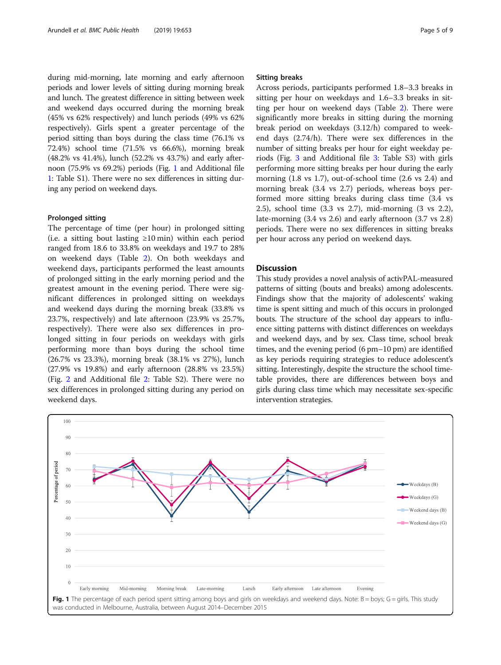<span id="page-4-0"></span>during mid-morning, late morning and early afternoon periods and lower levels of sitting during morning break and lunch. The greatest difference in sitting between week and weekend days occurred during the morning break (45% vs 62% respectively) and lunch periods (49% vs 62% respectively). Girls spent a greater percentage of the period sitting than boys during the class time (76.1% vs 72.4%) school time (71.5% vs 66.6%), morning break (48.2% vs 41.4%), lunch (52.2% vs 43.7%) and early afternoon (75.9% vs 69.2%) periods (Fig. 1 and Additional file [1:](#page-7-0) Table S1). There were no sex differences in sitting during any period on weekend days.

# Prolonged sitting

The percentage of time (per hour) in prolonged sitting (i.e. a sitting bout lasting  $\geq 10$  min) within each period ranged from 18.6 to 33.8% on weekdays and 19.7 to 28% on weekend days (Table [2](#page-3-0)). On both weekdays and weekend days, participants performed the least amounts of prolonged sitting in the early morning period and the greatest amount in the evening period. There were significant differences in prolonged sitting on weekdays and weekend days during the morning break (33.8% vs 23.7%, respectively) and late afternoon (23.9% vs 25.7%, respectively). There were also sex differences in prolonged sitting in four periods on weekdays with girls performing more than boys during the school time (26.7% vs 23.3%), morning break (38.1% vs 27%), lunch (27.9% vs 19.8%) and early afternoon (28.8% vs 23.5%) (Fig. [2](#page-5-0) and Additional file [2:](#page-7-0) Table S2). There were no sex differences in prolonged sitting during any period on weekend days.

# Sitting breaks

Across periods, participants performed 1.8–3.3 breaks in sitting per hour on weekdays and 1.6–3.3 breaks in sitting per hour on weekend days (Table [2](#page-3-0)). There were significantly more breaks in sitting during the morning break period on weekdays (3.12/h) compared to weekend days (2.74/h). There were sex differences in the number of sitting breaks per hour for eight weekday periods (Fig. [3](#page-5-0) and Additional file [3:](#page-7-0) Table S3) with girls performing more sitting breaks per hour during the early morning (1.8 vs 1.7), out-of-school time (2.6 vs 2.4) and morning break (3.4 vs 2.7) periods, whereas boys performed more sitting breaks during class time (3.4 vs 2.5), school time (3.3 vs 2.7), mid-morning (3 vs 2.2), late-morning (3.4 vs 2.6) and early afternoon (3.7 vs 2.8) periods. There were no sex differences in sitting breaks per hour across any period on weekend days.

# **Discussion**

This study provides a novel analysis of activPAL-measured patterns of sitting (bouts and breaks) among adolescents. Findings show that the majority of adolescents' waking time is spent sitting and much of this occurs in prolonged bouts. The structure of the school day appears to influence sitting patterns with distinct differences on weekdays and weekend days, and by sex. Class time, school break times, and the evening period (6 pm–10 pm) are identified as key periods requiring strategies to reduce adolescent's sitting. Interestingly, despite the structure the school timetable provides, there are differences between boys and girls during class time which may necessitate sex-specific intervention strategies.

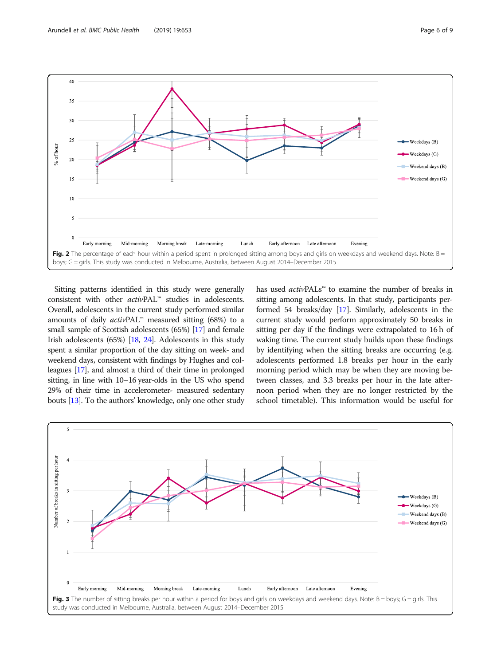<span id="page-5-0"></span>

Sitting patterns identified in this study were generally consistent with other activPAL™ studies in adolescents. Overall, adolescents in the current study performed similar amounts of daily  $activity$   $R_{\text{max}}$  measured sitting (68%) to a small sample of Scottish adolescents (65%) [[17](#page-7-0)] and female Irish adolescents (65%) [[18](#page-7-0), [24](#page-8-0)]. Adolescents in this study spent a similar proportion of the day sitting on week- and weekend days, consistent with findings by Hughes and colleagues [\[17\]](#page-7-0), and almost a third of their time in prolonged sitting, in line with 10–16 year-olds in the US who spend 29% of their time in accelerometer- measured sedentary bouts [\[13](#page-7-0)]. To the authors' knowledge, only one other study has used activPALs™ to examine the number of breaks in sitting among adolescents. In that study, participants performed 54 breaks/day [\[17](#page-7-0)]. Similarly, adolescents in the current study would perform approximately 50 breaks in sitting per day if the findings were extrapolated to 16 h of waking time. The current study builds upon these findings by identifying when the sitting breaks are occurring (e.g. adolescents performed 1.8 breaks per hour in the early morning period which may be when they are moving between classes, and 3.3 breaks per hour in the late afternoon period when they are no longer restricted by the school timetable). This information would be useful for

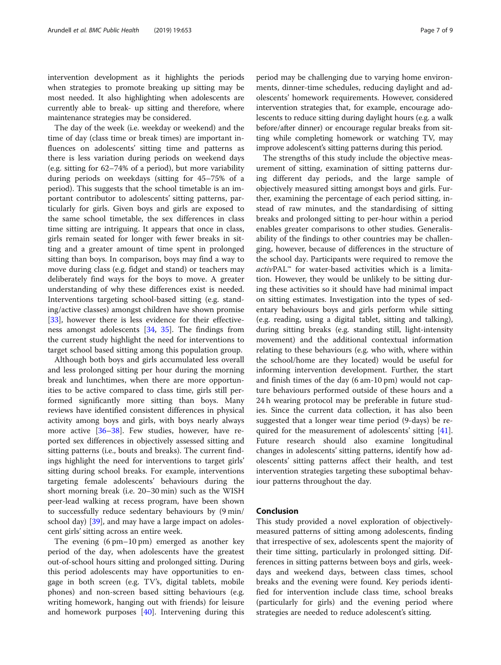intervention development as it highlights the periods when strategies to promote breaking up sitting may be most needed. It also highlighting when adolescents are currently able to break- up sitting and therefore, where maintenance strategies may be considered.

The day of the week (i.e. weekday or weekend) and the time of day (class time or break times) are important influences on adolescents' sitting time and patterns as there is less variation during periods on weekend days (e.g. sitting for 62–74% of a period), but more variability during periods on weekdays (sitting for 45–75% of a period). This suggests that the school timetable is an important contributor to adolescents' sitting patterns, particularly for girls. Given boys and girls are exposed to the same school timetable, the sex differences in class time sitting are intriguing. It appears that once in class, girls remain seated for longer with fewer breaks in sitting and a greater amount of time spent in prolonged sitting than boys. In comparison, boys may find a way to move during class (e.g. fidget and stand) or teachers may deliberately find ways for the boys to move. A greater understanding of why these differences exist is needed. Interventions targeting school-based sitting (e.g. standing/active classes) amongst children have shown promise [[33\]](#page-8-0), however there is less evidence for their effectiveness amongst adolescents [\[34](#page-8-0), [35](#page-8-0)]. The findings from the current study highlight the need for interventions to target school based sitting among this population group.

Although both boys and girls accumulated less overall and less prolonged sitting per hour during the morning break and lunchtimes, when there are more opportunities to be active compared to class time, girls still performed significantly more sitting than boys. Many reviews have identified consistent differences in physical activity among boys and girls, with boys nearly always more active [[36](#page-8-0)–[38](#page-8-0)]. Few studies, however, have reported sex differences in objectively assessed sitting and sitting patterns (i.e., bouts and breaks). The current findings highlight the need for interventions to target girls' sitting during school breaks. For example, interventions targeting female adolescents' behaviours during the short morning break (i.e. 20–30 min) such as the WISH peer-lead walking at recess program, have been shown to successfully reduce sedentary behaviours by (9 min/ school day) [\[39](#page-8-0)], and may have a large impact on adolescent girls' sitting across an entire week.

The evening (6 pm–10 pm) emerged as another key period of the day, when adolescents have the greatest out-of-school hours sitting and prolonged sitting. During this period adolescents may have opportunities to engage in both screen (e.g. TV's, digital tablets, mobile phones) and non-screen based sitting behaviours (e.g. writing homework, hanging out with friends) for leisure and homework purposes [[40\]](#page-8-0). Intervening during this period may be challenging due to varying home environments, dinner-time schedules, reducing daylight and adolescents' homework requirements. However, considered intervention strategies that, for example, encourage adolescents to reduce sitting during daylight hours (e.g. a walk before/after dinner) or encourage regular breaks from sitting while completing homework or watching TV, may improve adolescent's sitting patterns during this period.

The strengths of this study include the objective measurement of sitting, examination of sitting patterns during different day periods, and the large sample of objectively measured sitting amongst boys and girls. Further, examining the percentage of each period sitting, instead of raw minutes, and the standardising of sitting breaks and prolonged sitting to per-hour within a period enables greater comparisons to other studies. Generalisability of the findings to other countries may be challenging, however, because of differences in the structure of the school day. Participants were required to remove the  $activePAL<sup>™</sup>$  for water-based activities which is a limitation. However, they would be unlikely to be sitting during these activities so it should have had minimal impact on sitting estimates. Investigation into the types of sedentary behaviours boys and girls perform while sitting (e.g. reading, using a digital tablet, sitting and talking), during sitting breaks (e.g. standing still, light-intensity movement) and the additional contextual information relating to these behaviours (e.g. who with, where within the school/home are they located) would be useful for informing intervention development. Further, the start and finish times of the day (6 am-10 pm) would not capture behaviours performed outside of these hours and a 24 h wearing protocol may be preferable in future studies. Since the current data collection, it has also been suggested that a longer wear time period (9-days) be re-quired for the measurement of adolescents' sitting [\[41](#page-8-0)]. Future research should also examine longitudinal changes in adolescents' sitting patterns, identify how adolescents' sitting patterns affect their health, and test intervention strategies targeting these suboptimal behaviour patterns throughout the day.

# Conclusion

This study provided a novel exploration of objectivelymeasured patterns of sitting among adolescents, finding that irrespective of sex, adolescents spent the majority of their time sitting, particularly in prolonged sitting. Differences in sitting patterns between boys and girls, weekdays and weekend days, between class times, school breaks and the evening were found. Key periods identified for intervention include class time, school breaks (particularly for girls) and the evening period where strategies are needed to reduce adolescent's sitting.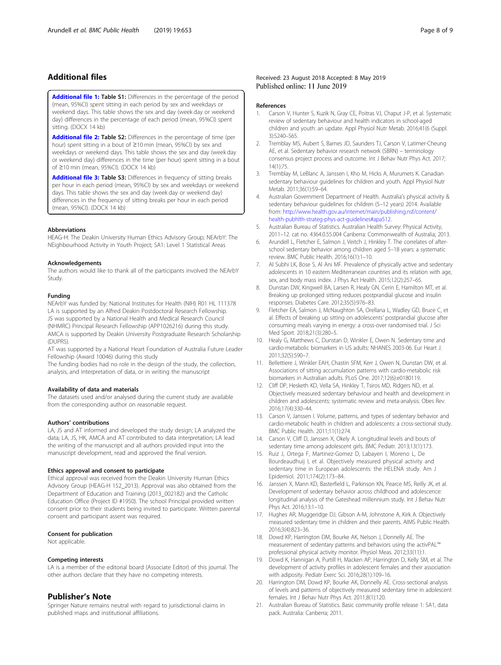# <span id="page-7-0"></span>Additional files

[Additional file 1:](https://doi.org/10.1186/s12889-019-6960-5) Table S1: Differences in the percentage of the period (mean, 95%CI) spent sitting in each period by sex and weekdays or weekend days. This table shows the sex and day (week day or weekend day) differences in the percentage of each period (mean, 95%CI) spent sitting. (DOCX 14 kb)

[Additional file 2:](https://doi.org/10.1186/s12889-019-6960-5) Table S2: Differences in the percentage of time (per hour) spent sitting in a bout of ≥10 min (mean, 95%CI) by sex and weekdays or weekend days. This table shows the sex and day (week day or weekend day) differences in the time (per hour) spent sitting in a bout of ≥10 min (mean, 95%CI). (DOCX 14 kb)

[Additional file 3:](https://doi.org/10.1186/s12889-019-6960-5) Table S3: Differences in frequency of sitting breaks per hour in each period (mean, 95%CI) by sex and weekdays or weekend days. This table shows the sex and day (week day or weekend day) differences in the frequency of sitting breaks per hour in each period (mean, 95%CI). (DOCX 14 kb)

# Abbreviations

HEAG-H: The Deakin University Human Ethics Advisory Group; NEArbY: The NEighbourhood Activity in Youth Project; SA1: Level 1 Statistical Areas

#### Acknowledgements

The authors would like to thank all of the participants involved the NEArbY Study.

#### Funding

NEArbY was funded by: National Institutes for Health (NIH) R01 HL 111378 LA is supported by an Alfred Deakin Postdoctoral Research Fellowship. JS was supported by a National Health and Medical Research Council (NHMRC) Principal Research Fellowship (APP1026216) during this study. AMCA is supported by Deakin University Postgraduate Research Scholarship (DUPRS).

AT was supported by a National Heart Foundation of Australia Future Leader Fellowship (Award 10046) during this study

The funding bodies had no role in the design of the study, the collection, analysis, and interpretation of data, or in writing the manuscript

# Availability of data and materials

The datasets used and/or analysed during the current study are available from the corresponding author on reasonable request.

#### Authors' contributions

LA, JS and AT informed and developed the study design; LA analyzed the data; LA, JS, HK, AMCA and AT contributed to data interpretation; LA lead the writing of the manuscript and all authors provided input into the manuscript development, read and approved the final version.

# Ethics approval and consent to participate

Ethical approval was received from the Deakin University Human Ethics Advisory Group (HEAG-H 152\_2013). Approval was also obtained from the Department of Education and Training (2013\_002182) and the Catholic Education Office (Project ID #1950). The school Principal provided written consent prior to their students being invited to participate. Written parental consent and participant assent was required.

# Consent for publication

Not applicable.

# Competing interests

LA is a member of the editorial board (Associate Editor) of this journal. The other authors declare that they have no competing interests.

# Publisher's Note

Springer Nature remains neutral with regard to jurisdictional claims in published maps and institutional affiliations.

# Received: 23 August 2018 Accepted: 8 May 2019 Published online: 11 June 2019

#### References

- 1. Carson V, Hunter S, Kuzik N, Gray CE, Poitras VJ, Chaput J-P, et al. Systematic review of sedentary behaviour and health indicators in school-aged children and youth: an update. Appl Physiol Nutr Metab. 2016;41(6 (Suppl. 3):S240–S65.
- 2. Tremblay MS, Aubert S, Barnes JD, Saunders TJ, Carson V, Latimer-Cheung AE, et al. Sedentary behavior research network (SBRN) – terminology consensus project process and outcome. Int J Behav Nutr Phys Act. 2017; 14(1):75.
- 3. Tremblay M, LeBlanc A, Janssen I, Kho M, Hicks A, Murumets K. Canadian sedentary behaviour guidelines for children and youth. Appl Physiol Nutr Metab. 2011;36(1):59–64.
- 4. Australian Government Department of Health. Australia's physical activity & sedentary behaviour guidelines for children (5–12 years) 2014. Available from: [http://www.health.gov.au/internet/main/publishing.nsf/content/](http://www.health.gov.au/internet/main/publishing.nsf/content/health-pubhlth-strateg-phys-act-guidelines#apa512) [health-pubhlth-strateg-phys-act-guidelines#apa512.](http://www.health.gov.au/internet/main/publishing.nsf/content/health-pubhlth-strateg-phys-act-guidelines#apa512)
- 5. Australian Bureau of Statistics. Australian Health Survey: Physical Activity, 2011–12. cat no. 4364.0.55.004 Canberra: Commonwealth of Australia; 2013.
- 6. Arundell L, Fletcher E, Salmon J, Veitch J, Hinkley T. The correlates of afterschool sedentary behavior among children aged 5–18 years: a systematic review. BMC Public Health. 2016;16(1):1–10.
- 7. Al Subhi LK, Bose S, Al Ani MF. Prevalence of physically active and sedentary adolescents in 10 eastern Mediterranean countries and its relation with age, sex, and body mass index. J Phys Act Health. 2015;12(2):257–65.
- 8. Dunstan DW, Kingwell BA, Larsen R, Healy GN, Cerin E, Hamilton MT, et al. Breaking up prolonged sitting reduces postprandial glucose and insulin responses. Diabetes Care. 2012;35(5):976–83.
- 9. Fletcher EA, Salmon J, McNaughton SA, Orellana L, Wadley GD, Bruce C, et al. Effects of breaking up sitting on adolescents' postprandial glucose after consuming meals varying in energy: a cross-over randomised trial. J Sci Med Sport. 2018;21(3):280–5.
- 10. Healy G, Matthews C, Dunstan D, Winkler E, Owen N. Sedentary time and cardio-metabolic biomarkers in US adults: NHANES 2003-06. Eur Heart J. 2011;32(5):590–7.
- 11. Bellettiere J, Winkler EAH, Chastin SFM, Kerr J, Owen N, Dunstan DW, et al. Associations of sitting accumulation patterns with cardio-metabolic risk biomarkers in Australian adults. PLoS One. 2017;12(6):e0180119.
- 12. Cliff DP, Hesketh KD, Vella SA, Hinkley T, Tsiros MD, Ridgers ND, et al. Objectively measured sedentary behaviour and health and development in children and adolescents: systematic review and meta-analysis. Obes Rev. 2016;17(4):330–44.
- 13. Carson V, Janssen I. Volume, patterns, and types of sedentary behavior and cardio-metabolic health in children and adolescents: a cross-sectional study. BMC Public Health. 2011;11(1):274.
- 14. Carson V, Cliff D, Janssen X, Okely A. Longitudinal levels and bouts of sedentary time among adolescent girls. BMC Pediatr. 2013;13(1):173.
- 15. Ruiz J, Ortega F, Martinez-Gomez D, Labayen I, Moreno L, De Bourdeaudhuij I, et al. Objectively measured physical activity and sedentary time in European adolescents: the HELENA study. Am J Epidemiol. 2011;174(2):173–84.
- 16. Janssen X, Mann KD, Basterfield L, Parkinson KN, Pearce MS, Reilly JK, et al. Development of sedentary behavior across childhood and adolescence: longitudinal analysis of the Gateshead millennium study. Int J Behav Nutr Phys Act. 2016;13:1–10.
- 17. Hughes AR, Muggeridge DJ, Gibson A-M, Johnstone A, Kirk A. Objectively measured sedentary time in children and their parents. AIMS Public Health. 2016;3(4):823–36.
- 18. Dowd KP, Harrington DM, Bourke AK, Nelson J, Donnelly AE. The measurement of sedentary patterns and behaviors using the activPAL™ professional physical activity monitor. Physiol Meas. 2012;33(11):1.
- 19. Dowd K, Hannigan A, Purtill H, Macken AP, Harrington D, Kelly SM, et al. The development of activity profiles in adolescent females and their association with adiposity. Pediatr Exerc Sci. 2016;28(1):109–16.
- 20. Harrington DM, Dowd KP, Bourke AK, Donnelly AE. Cross-sectional analysis of levels and patterns of objectively measured sedentary time in adolescent females. Int J Behav Nutr Phys Act. 2011;8(1):120.
- 21. Australian Bureau of Statistics. Basic community profile release 1: SA1, data pack. Australia: Canberra; 2011.